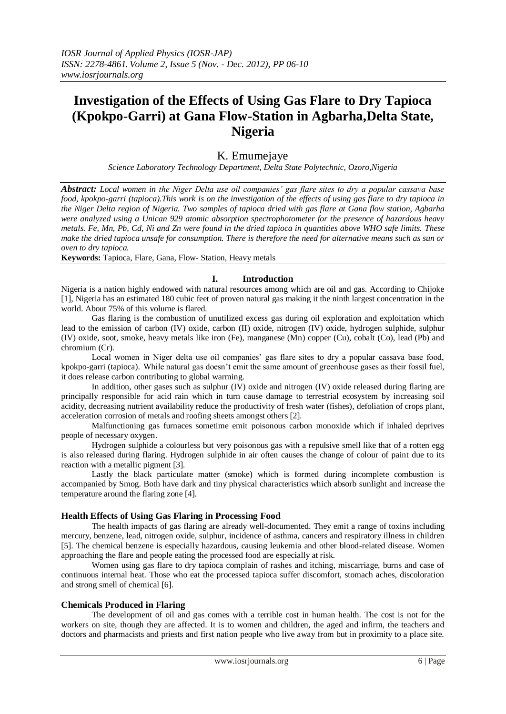# **Investigation of the Effects of Using Gas Flare to Dry Tapioca (Kpokpo-Garri) at Gana Flow-Station in Agbarha,Delta State, Nigeria**

# K. Emumejaye

*Science Laboratory Technology Department, Delta State Polytechnic, Ozoro,Nigeria* 

*Abstract: Local women in the Niger Delta use oil companies' gas flare sites to dry a popular cassava base food, kpokpo-garri (tapioca).This work is on the investigation of the effects of using gas flare to dry tapioca in the Niger Delta region of Nigeria. Two samples of tapioca dried with gas flare at Gana flow station, Agbarha were analyzed using a Unican 929 atomic absorption spectrophotometer for the presence of hazardous heavy metals. Fe, Mn, Pb, Cd, Ni and Zn were found in the dried tapioca in quantities above WHO safe limits. These make the dried tapioca unsafe for consumption. There is therefore the need for alternative means such as sun or oven to dry tapioca.* 

**Keywords:** Tapioca, Flare, Gana, Flow- Station, Heavy metals

# **I. Introduction**

Nigeria is a nation highly endowed with natural resources among which are oil and gas. According to Chijoke [1], Nigeria has an estimated 180 cubic feet of proven natural gas making it the ninth largest concentration in the world. About 75% of this volume is flared.

Gas flaring is the combustion of unutilized excess gas during oil exploration and exploitation which lead to the emission of carbon (IV) oxide, carbon (II) oxide, nitrogen (IV) oxide, hydrogen sulphide, sulphur (IV) oxide, soot, smoke, heavy metals like iron (Fe), manganese (Mn) copper (Cu), cobalt (Co), lead (Pb) and chromium (Cr).

Local women in Niger delta use oil companies' gas flare sites to dry a popular cassava base food, kpokpo-garri (tapioca). While natural gas doesn't emit the same amount of greenhouse gases as their fossil fuel, it does release carbon contributing to global warming.

In addition, other gases such as sulphur (IV) oxide and nitrogen (IV) oxide released during flaring are principally responsible for acid rain which in turn cause damage to terrestrial ecosystem by increasing soil acidity, decreasing nutrient availability reduce the productivity of fresh water (fishes), defoliation of crops plant, acceleration corrosion of metals and roofing sheets amongst others [2].

Malfunctioning gas furnaces sometime emit poisonous carbon monoxide which if inhaled deprives people of necessary oxygen.

Hydrogen sulphide a colourless but very poisonous gas with a repulsive smell like that of a rotten egg is also released during flaring. Hydrogen sulphide in air often causes the change of colour of paint due to its reaction with a metallic pigment [3].

Lastly the black particulate matter (smoke) which is formed during incomplete combustion is accompanied by Smog. Both have dark and tiny physical characteristics which absorb sunlight and increase the temperature around the flaring zone [4].

# **Health Effects of Using Gas Flaring in Processing Food**

The health impacts of gas flaring are already well-documented. They emit a range of toxins including mercury, benzene, lead, nitrogen oxide, sulphur, incidence of asthma, cancers and respiratory illness in children [5]. The chemical benzene is especially hazardous, causing leukemia and other blood-related disease. Women approaching the flare and people eating the processed food are especially at risk.

Women using gas flare to dry tapioca complain of rashes and itching, miscarriage, burns and case of continuous internal heat. Those who eat the processed tapioca suffer discomfort, stomach aches, discoloration and strong smell of chemical [6].

# **Chemicals Produced in Flaring**

The development of oil and gas comes with a terrible cost in human health. The cost is not for the workers on site, though they are affected. It is to women and children, the aged and infirm, the teachers and doctors and pharmacists and priests and first nation people who live away from but in proximity to a place site.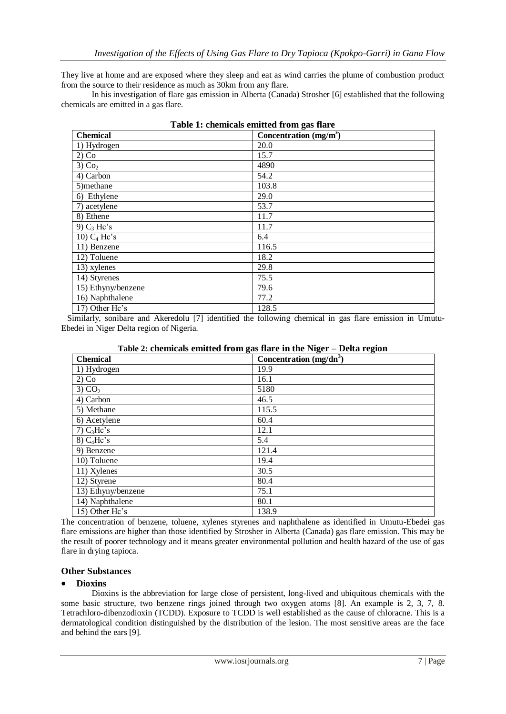They live at home and are exposed where they sleep and eat as wind carries the plume of combustion product from the source to their residence as much as 30km from any flare.

In his investigation of flare gas emission in Alberta (Canada) Strosher [6] established that the following chemicals are emitted in a gas flare.

| Table 1: chemicals emitted from gas flare |                         |  |  |  |  |
|-------------------------------------------|-------------------------|--|--|--|--|
| <b>Chemical</b>                           | Concentration $(mg/ms)$ |  |  |  |  |
| 1) Hydrogen                               | 20.0                    |  |  |  |  |
| $2)$ Co                                   | 15.7                    |  |  |  |  |
| $3)$ Co <sub>2</sub>                      | 4890                    |  |  |  |  |
| 4) Carbon                                 | 54.2                    |  |  |  |  |
| 5) methane                                | 103.8                   |  |  |  |  |
| 6) Ethylene                               | 29.0                    |  |  |  |  |
| 7) acetylene                              | 53.7                    |  |  |  |  |
| 8) Ethene                                 | 11.7                    |  |  |  |  |
| 9) $C_3$ Hc's                             | 11.7                    |  |  |  |  |
| 10) $C_4$ Hc's                            | 6.4                     |  |  |  |  |
| 11) Benzene                               | 116.5                   |  |  |  |  |
| 12) Toluene                               | 18.2                    |  |  |  |  |
| 13) xylenes                               | 29.8                    |  |  |  |  |
| 14) Styrenes                              | 75.5                    |  |  |  |  |
| 15) Ethyny/benzene                        | 79.6                    |  |  |  |  |
| 16) Naphthalene                           | 77.2                    |  |  |  |  |
| 17) Other Hc's                            | 128.5                   |  |  |  |  |

 Similarly, sonibare and Akeredolu [7] identified the following chemical in gas flare emission in Umutu-Ebedei in Niger Delta region of Nigeria.

| <b>Chemical</b>          | Concentration $(mg/dn^3)$ |
|--------------------------|---------------------------|
| 1) Hydrogen              | 19.9                      |
| $2)$ Co                  | 16.1                      |
| 3) CO <sub>2</sub>       | 5180                      |
| 4) Carbon                | 46.5                      |
| 5) Methane               | 115.5                     |
| 6) Acetylene             | 60.4                      |
| $7)$ C <sub>3</sub> Hc's | 12.1                      |
| $8)$ C <sub>4</sub> Hc's | 5.4                       |
| 9) Benzene               | 121.4                     |
| 10) Toluene              | 19.4                      |
| 11) Xylenes              | 30.5                      |
| 12) Styrene              | 80.4                      |
| 13) Ethyny/benzene       | 75.1                      |
| 14) Naphthalene          | 80.1                      |
| 15) Other Hc's           | 138.9                     |

| Table 2: chemicals emitted from gas flare in the Niger - Delta region |  |  |
|-----------------------------------------------------------------------|--|--|
|                                                                       |  |  |

The concentration of benzene, toluene, xylenes styrenes and naphthalene as identified in Umutu-Ebedei gas flare emissions are higher than those identified by Strosher in Alberta (Canada) gas flare emission. This may be the result of poorer technology and it means greater environmental pollution and health hazard of the use of gas flare in drying tapioca.

#### **Other Substances**

#### **Dioxins**

Dioxins is the abbreviation for large close of persistent, long-lived and ubiquitous chemicals with the some basic structure, two benzene rings joined through two oxygen atoms [8]. An example is 2, 3, 7, 8. Tetrachloro-dibenzodioxin (TCDD). Exposure to TCDD is well established as the cause of chloracne. This is a dermatological condition distinguished by the distribution of the lesion. The most sensitive areas are the face and behind the ears [9].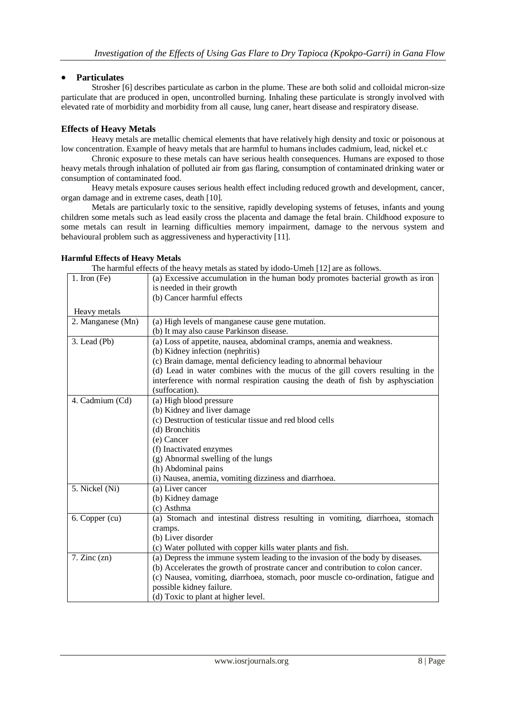# **Particulates**

Strosher [6] describes particulate as carbon in the plume. These are both solid and colloidal micron-size particulate that are produced in open, uncontrolled burning. Inhaling these particulate is strongly involved with elevated rate of morbidity and morbidity from all cause, lung caner, heart disease and respiratory disease.

# **Effects of Heavy Metals**

Heavy metals are metallic chemical elements that have relatively high density and toxic or poisonous at low concentration. Example of heavy metals that are harmful to humans includes cadmium, lead, nickel et.c

Chronic exposure to these metals can have serious health consequences. Humans are exposed to those heavy metals through inhalation of polluted air from gas flaring, consumption of contaminated drinking water or consumption of contaminated food.

Heavy metals exposure causes serious health effect including reduced growth and development, cancer, organ damage and in extreme cases, death [10].

Metals are particularly toxic to the sensitive, rapidly developing systems of fetuses, infants and young children some metals such as lead easily cross the placenta and damage the fetal brain. Childhood exposure to some metals can result in learning difficulties memory impairment, damage to the nervous system and behavioural problem such as aggressiveness and hyperactivity [11].

# **Harmful Effects of Heavy Metals**

The harmful effects of the heavy metals as stated by idodo-Umeh [12] are as follows.

| 1. Iron $(Fe)$    | (a) Excessive accumulation in the human body promotes bacterial growth as iron   |  |  |  |  |  |
|-------------------|----------------------------------------------------------------------------------|--|--|--|--|--|
|                   | is needed in their growth                                                        |  |  |  |  |  |
|                   | (b) Cancer harmful effects                                                       |  |  |  |  |  |
| Heavy metals      |                                                                                  |  |  |  |  |  |
| 2. Manganese (Mn) | (a) High levels of manganese cause gene mutation.                                |  |  |  |  |  |
|                   | (b) It may also cause Parkinson disease.                                         |  |  |  |  |  |
| $3.$ Lead (Pb)    | (a) Loss of appetite, nausea, abdominal cramps, anemia and weakness.             |  |  |  |  |  |
|                   | (b) Kidney infection (nephritis)                                                 |  |  |  |  |  |
|                   | (c) Brain damage, mental deficiency leading to abnormal behaviour                |  |  |  |  |  |
|                   | (d) Lead in water combines with the mucus of the gill covers resulting in the    |  |  |  |  |  |
|                   | interference with normal respiration causing the death of fish by asphysciation  |  |  |  |  |  |
|                   | (suffocation).                                                                   |  |  |  |  |  |
| 4. Cadmium (Cd)   | (a) High blood pressure                                                          |  |  |  |  |  |
|                   | (b) Kidney and liver damage                                                      |  |  |  |  |  |
|                   | (c) Destruction of testicular tissue and red blood cells                         |  |  |  |  |  |
|                   | (d) Bronchitis                                                                   |  |  |  |  |  |
|                   | (e) Cancer                                                                       |  |  |  |  |  |
|                   | (f) Inactivated enzymes                                                          |  |  |  |  |  |
|                   | (g) Abnormal swelling of the lungs                                               |  |  |  |  |  |
|                   | (h) Abdominal pains                                                              |  |  |  |  |  |
|                   | (i) Nausea, anemia, vomiting dizziness and diarrhoea.                            |  |  |  |  |  |
| 5. Nickel (Ni)    | (a) Liver cancer                                                                 |  |  |  |  |  |
|                   | (b) Kidney damage                                                                |  |  |  |  |  |
|                   | (c) Asthma                                                                       |  |  |  |  |  |
| 6. Copper (cu)    | (a) Stomach and intestinal distress resulting in vomiting, diarrhoea, stomach    |  |  |  |  |  |
|                   | cramps.                                                                          |  |  |  |  |  |
|                   | (b) Liver disorder                                                               |  |  |  |  |  |
|                   | (c) Water polluted with copper kills water plants and fish.                      |  |  |  |  |  |
| 7. Zinc(zn)       | (a) Depress the immune system leading to the invasion of the body by diseases.   |  |  |  |  |  |
|                   | (b) Accelerates the growth of prostrate cancer and contribution to colon cancer. |  |  |  |  |  |
|                   | (c) Nausea, vomiting, diarrhoea, stomach, poor muscle co-ordination, fatigue and |  |  |  |  |  |
|                   | possible kidney failure.                                                         |  |  |  |  |  |
|                   | (d) Toxic to plant at higher level.                                              |  |  |  |  |  |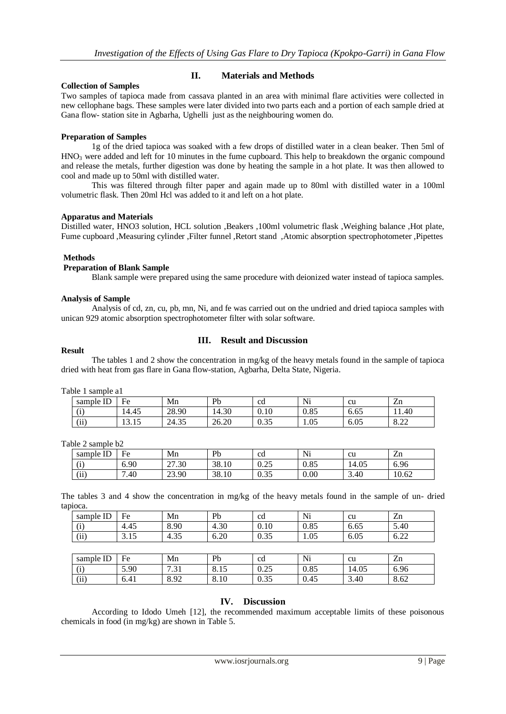# **Collection of Samples**

# **II. Materials and Methods**

Two samples of tapioca made from cassava planted in an area with minimal flare activities were collected in new cellophane bags. These samples were later divided into two parts each and a portion of each sample dried at Gana flow- station site in Agbarha, Ughelli just as the neighbouring women do.

#### **Preparation of Samples**

1g of the dried tapioca was soaked with a few drops of distilled water in a clean beaker. Then 5ml of  $HNO<sub>3</sub>$  were added and left for 10 minutes in the fume cupboard. This help to breakdown the organic compound and release the metals, further digestion was done by heating the sample in a hot plate. It was then allowed to cool and made up to 50ml with distilled water.

This was filtered through filter paper and again made up to 80ml with distilled water in a 100ml volumetric flask. Then 20ml Hcl was added to it and left on a hot plate.

#### **Apparatus and Materials**

Distilled water, HNO3 solution, HCL solution ,Beakers ,100ml volumetric flask ,Weighing balance ,Hot plate, Fume cupboard ,Measuring cylinder ,Filter funnel ,Retort stand ,Atomic absorption spectrophotometer ,Pipettes

#### **Methods**

#### **Preparation of Blank Sample**

Blank sample were prepared using the same procedure with deionized water instead of tapioca samples.

#### **Analysis of Sample**

Analysis of cd, zn, cu, pb, mn, Ni, and fe was carried out on the undried and dried tapioca samples with unican 929 atomic absorption spectrophotometer filter with solar software.

#### **Result**

# **III. Result and Discussion**

The tables 1 and 2 show the concentration in mg/kg of the heavy metals found in the sample of tapioca dried with heat from gas flare in Gana flow-station, Agbarha, Delta State, Nigeria.

Table 1 sample a1

| <b>TD</b><br>sample ID | Fe                     | Mn                     | Pb                | <sub>cd</sub>         | Ni          | cu   | $\overline{\phantom{a}}$<br>Zn |
|------------------------|------------------------|------------------------|-------------------|-----------------------|-------------|------|--------------------------------|
| $\lambda$<br>. .       | 14.45                  | 28.90                  | $\Omega$<br>14.30 | 0.10                  | 00<<br>U.83 | 6.65 | 1.40                           |
| $\lambda$<br>11        | $\sim$ $\sim$<br>19.IJ | $\sim$ $\sim$<br>24.35 | ററ<br>26.20       | $\sim$ $\sim$<br>v.JJ | 1.05        | 6.05 | ററ<br>0.44                     |

#### Table 2 sample b2

| sample ID        | Fe   | Mn    | Pb    | <sub>cd</sub>                | Ni   | cu    | $\overline{\phantom{0}}$<br>Zn |
|------------------|------|-------|-------|------------------------------|------|-------|--------------------------------|
| $\lambda$<br>. . | 6.90 | 27.30 | 38.10 | $\cap$ $\cap$ $\leq$<br>∪.∠J | 0.85 | 14.05 | 6.96<br>∽                      |
| $\lambda$<br>11  | .40  | 23.90 | 38.10 | $\Omega$<br>U.JJ             | 0.00 | 3.40  | 10.62                          |

The tables 3 and 4 show the concentration in mg/kg of the heavy metals found in the sample of un- dried tapioca.

| sample ID | Fe   | Mn   | Pb   | cd   | Ni   | cu    | Zn   |
|-----------|------|------|------|------|------|-------|------|
| (i)       | 4.45 | 8.90 | 4.30 | 0.10 | 0.85 | 6.65  | 5.40 |
| (ii)      | 3.15 | 4.35 | 6.20 | 0.35 | 1.05 | 6.05  | 6.22 |
|           |      |      |      |      |      |       |      |
| sample ID | Fe   | Mn   | Pb   | cd   | Ni   | cu    | Zn   |
| (i)       | 5.90 | 7.31 | 8.15 | 0.25 | 0.85 | 14.05 | 6.96 |
| (ii)      | 6.41 | 8.92 | 8.10 | 0.35 | 0.45 | 3.40  | 8.62 |

# **IV. Discussion**

According to Idodo Umeh [12], the recommended maximum acceptable limits of these poisonous chemicals in food (in mg/kg) are shown in Table 5.